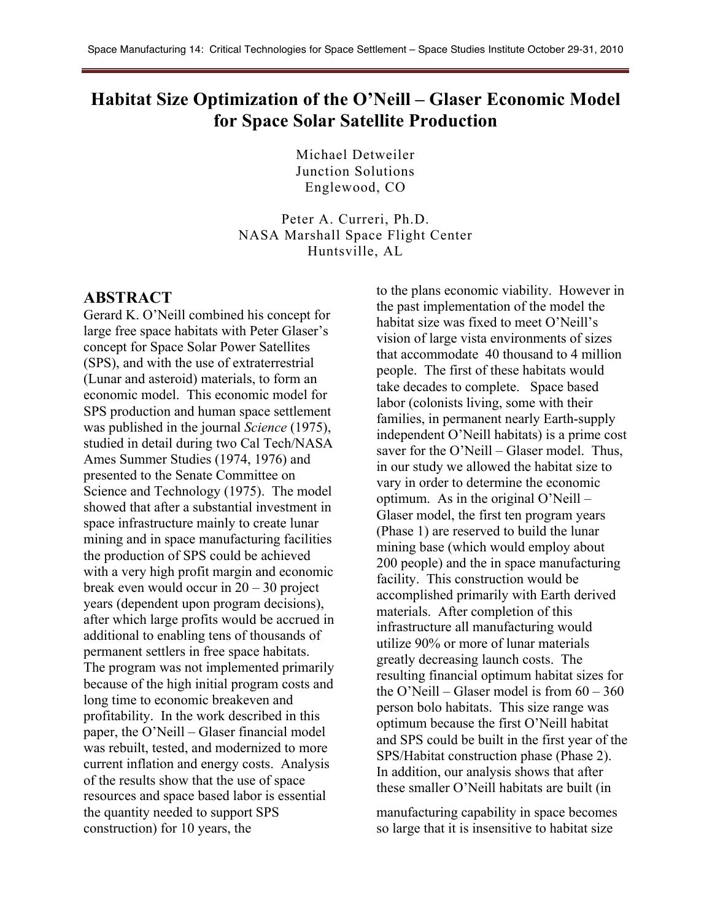# **Habitat Size Optimization of the O'Neill – Glaser Economic Model for Space Solar Satellite Production**

Michael Detweiler Junction Solutions Englewood, CO

Peter A. Curreri, Ph.D. NASA Marshall Space Flight Center Huntsville, AL

## **ABSTRACT**

Gerard K. O'Neill combined his concept for large free space habitats with Peter Glaser's concept for Space Solar Power Satellites (SPS), and with the use of extraterrestrial (Lunar and asteroid) materials, to form an economic model. This economic model for SPS production and human space settlement was published in the journal *Science* (1975), studied in detail during two Cal Tech/NASA Ames Summer Studies (1974, 1976) and presented to the Senate Committee on Science and Technology (1975). The model showed that after a substantial investment in space infrastructure mainly to create lunar mining and in space manufacturing facilities the production of SPS could be achieved with a very high profit margin and economic break even would occur in 20 – 30 project years (dependent upon program decisions), after which large profits would be accrued in additional to enabling tens of thousands of permanent settlers in free space habitats. The program was not implemented primarily because of the high initial program costs and long time to economic breakeven and profitability. In the work described in this paper, the O'Neill – Glaser financial model was rebuilt, tested, and modernized to more current inflation and energy costs. Analysis of the results show that the use of space resources and space based labor is essential the quantity needed to support SPS construction) for 10 years, the

to the plans economic viability. However in the past implementation of the model the habitat size was fixed to meet O'Neill's vision of large vista environments of sizes that accommodate 40 thousand to 4 million people. The first of these habitats would take decades to complete. Space based labor (colonists living, some with their families, in permanent nearly Earth-supply independent O'Neill habitats) is a prime cost saver for the O'Neill – Glaser model. Thus, in our study we allowed the habitat size to vary in order to determine the economic optimum. As in the original O'Neill – Glaser model, the first ten program years (Phase 1) are reserved to build the lunar mining base (which would employ about 200 people) and the in space manufacturing facility. This construction would be accomplished primarily with Earth derived materials. After completion of this infrastructure all manufacturing would utilize 90% or more of lunar materials greatly decreasing launch costs. The resulting financial optimum habitat sizes for the O'Neill – Glaser model is from  $60 - 360$ person bolo habitats. This size range was optimum because the first O'Neill habitat and SPS could be built in the first year of the SPS/Habitat construction phase (Phase 2). In addition, our analysis shows that after these smaller O'Neill habitats are built (in

manufacturing capability in space becomes so large that it is insensitive to habitat size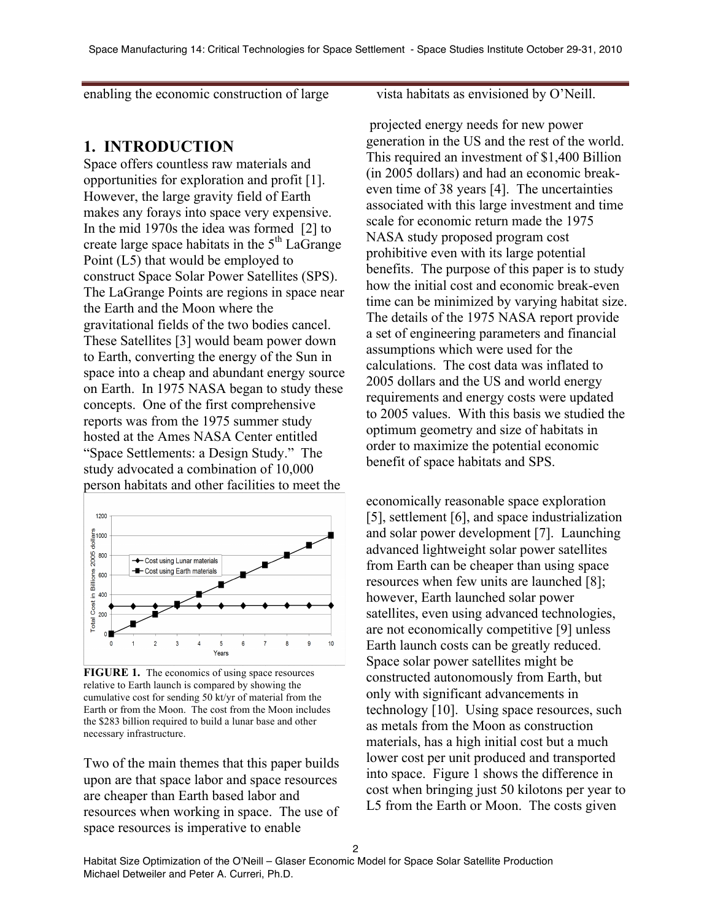enabling the economic construction of large vista habitats as envisioned by O'Neill.

#### **1. INTRODUCTION**

Space offers countless raw materials and opportunities for exploration and profit [1]. However, the large gravity field of Earth makes any forays into space very expensive. In the mid 1970s the idea was formed [2] to create large space habitats in the  $5<sup>th</sup>$  LaGrange Point (L5) that would be employed to construct Space Solar Power Satellites (SPS). The LaGrange Points are regions in space near the Earth and the Moon where the gravitational fields of the two bodies cancel. These Satellites [3] would beam power down to Earth, converting the energy of the Sun in space into a cheap and abundant energy source on Earth. In 1975 NASA began to study these concepts. One of the first comprehensive reports was from the 1975 summer study hosted at the Ames NASA Center entitled "Space Settlements: a Design Study." The study advocated a combination of 10,000 person habitats and other facilities to meet the



**FIGURE 1.** The economics of using space resources relative to Earth launch is compared by showing the cumulative cost for sending 50 kt/yr of material from the Earth or from the Moon. The cost from the Moon includes the \$283 billion required to build a lunar base and other necessary infrastructure.

Two of the main themes that this paper builds upon are that space labor and space resources are cheaper than Earth based labor and resources when working in space. The use of space resources is imperative to enable

projected energy needs for new power generation in the US and the rest of the world. This required an investment of \$1,400 Billion (in 2005 dollars) and had an economic breakeven time of 38 years [4]. The uncertainties associated with this large investment and time scale for economic return made the 1975 NASA study proposed program cost prohibitive even with its large potential benefits. The purpose of this paper is to study how the initial cost and economic break-even time can be minimized by varying habitat size. The details of the 1975 NASA report provide a set of engineering parameters and financial assumptions which were used for the calculations. The cost data was inflated to 2005 dollars and the US and world energy requirements and energy costs were updated to 2005 values. With this basis we studied the optimum geometry and size of habitats in order to maximize the potential economic benefit of space habitats and SPS.

economically reasonable space exploration [5], settlement [6], and space industrialization and solar power development [7]. Launching advanced lightweight solar power satellites from Earth can be cheaper than using space resources when few units are launched [8]; however, Earth launched solar power satellites, even using advanced technologies, are not economically competitive [9] unless Earth launch costs can be greatly reduced. Space solar power satellites might be constructed autonomously from Earth, but only with significant advancements in technology [10]. Using space resources, such as metals from the Moon as construction materials, has a high initial cost but a much lower cost per unit produced and transported into space. Figure 1 shows the difference in cost when bringing just 50 kilotons per year to L5 from the Earth or Moon. The costs given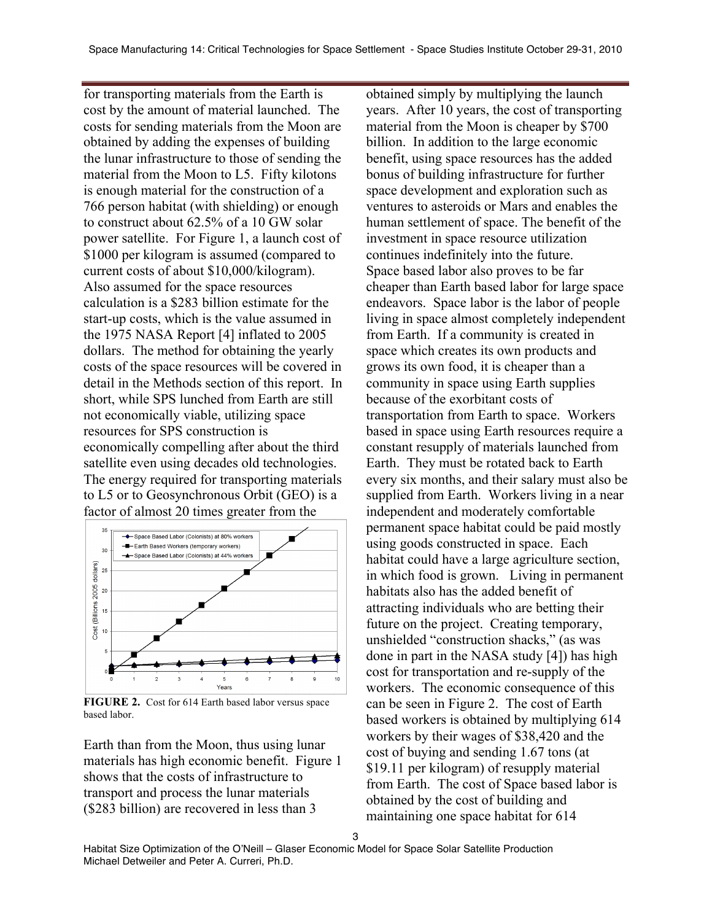for transporting materials from the Earth is obtained simply by multiplying the launch cost by the amount of material launched. The costs for sending materials from the Moon are obtained by adding the expenses of building the lunar infrastructure to those of sending the material from the Moon to L5. Fifty kilotons is enough material for the construction of a 766 person habitat (with shielding) or enough to construct about 62.5% of a 10 GW solar power satellite. For Figure 1, a launch cost of \$1000 per kilogram is assumed (compared to current costs of about \$10,000/kilogram). Also assumed for the space resources calculation is a \$283 billion estimate for the start-up costs, which is the value assumed in the 1975 NASA Report [4] inflated to 2005 dollars. The method for obtaining the yearly costs of the space resources will be covered in detail in the Methods section of this report. In short, while SPS lunched from Earth are still not economically viable, utilizing space resources for SPS construction is economically compelling after about the third satellite even using decades old technologies. The energy required for transporting materials to L5 or to Geosynchronous Orbit (GEO) is a factor of almost 20 times greater from the



**FIGURE 2.** Cost for 614 Earth based labor versus space based labor.

Earth than from the Moon, thus using lunar materials has high economic benefit. Figure 1 shows that the costs of infrastructure to transport and process the lunar materials (\$283 billion) are recovered in less than 3

years. After 10 years, the cost of transporting material from the Moon is cheaper by \$700 billion. In addition to the large economic benefit, using space resources has the added bonus of building infrastructure for further space development and exploration such as ventures to asteroids or Mars and enables the human settlement of space. The benefit of the investment in space resource utilization continues indefinitely into the future. Space based labor also proves to be far cheaper than Earth based labor for large space endeavors. Space labor is the labor of people living in space almost completely independent from Earth. If a community is created in space which creates its own products and grows its own food, it is cheaper than a community in space using Earth supplies because of the exorbitant costs of transportation from Earth to space. Workers based in space using Earth resources require a constant resupply of materials launched from Earth. They must be rotated back to Earth every six months, and their salary must also be supplied from Earth. Workers living in a near independent and moderately comfortable permanent space habitat could be paid mostly using goods constructed in space. Each habitat could have a large agriculture section, in which food is grown. Living in permanent habitats also has the added benefit of attracting individuals who are betting their future on the project. Creating temporary, unshielded "construction shacks," (as was done in part in the NASA study [4]) has high cost for transportation and re-supply of the workers. The economic consequence of this can be seen in Figure 2. The cost of Earth based workers is obtained by multiplying 614 workers by their wages of \$38,420 and the cost of buying and sending 1.67 tons (at \$19.11 per kilogram) of resupply material from Earth. The cost of Space based labor is obtained by the cost of building and maintaining one space habitat for 614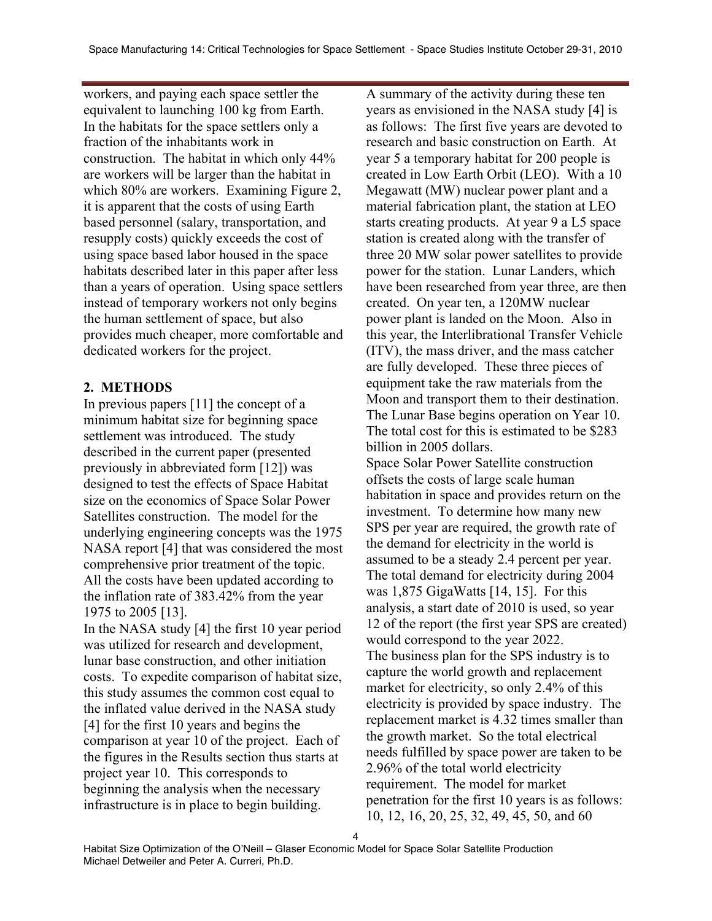workers, and paying each space settler the equivalent to launching 100 kg from Earth. In the habitats for the space settlers only a fraction of the inhabitants work in construction. The habitat in which only 44% are workers will be larger than the habitat in which 80% are workers. Examining Figure 2, it is apparent that the costs of using Earth based personnel (salary, transportation, and resupply costs) quickly exceeds the cost of using space based labor housed in the space habitats described later in this paper after less than a years of operation. Using space settlers instead of temporary workers not only begins the human settlement of space, but also provides much cheaper, more comfortable and dedicated workers for the project.

# **2. METHODS**

In previous papers [11] the concept of a minimum habitat size for beginning space settlement was introduced. The study described in the current paper (presented previously in abbreviated form [12]) was designed to test the effects of Space Habitat size on the economics of Space Solar Power Satellites construction. The model for the underlying engineering concepts was the 1975 NASA report [4] that was considered the most comprehensive prior treatment of the topic. All the costs have been updated according to the inflation rate of 383.42% from the year 1975 to 2005 [13].

In the NASA study [4] the first 10 year period was utilized for research and development, lunar base construction, and other initiation costs. To expedite comparison of habitat size, this study assumes the common cost equal to the inflated value derived in the NASA study [4] for the first 10 years and begins the comparison at year 10 of the project. Each of the figures in the Results section thus starts at project year 10. This corresponds to beginning the analysis when the necessary infrastructure is in place to begin building.

A summary of the activity during these ten years as envisioned in the NASA study [4] is as follows: The first five years are devoted to research and basic construction on Earth. At year 5 a temporary habitat for 200 people is created in Low Earth Orbit (LEO). With a 10 Megawatt (MW) nuclear power plant and a material fabrication plant, the station at LEO starts creating products. At year 9 a L5 space station is created along with the transfer of three 20 MW solar power satellites to provide power for the station. Lunar Landers, which have been researched from year three, are then created. On year ten, a 120MW nuclear power plant is landed on the Moon. Also in this year, the Interlibrational Transfer Vehicle (ITV), the mass driver, and the mass catcher are fully developed. These three pieces of equipment take the raw materials from the Moon and transport them to their destination. The Lunar Base begins operation on Year 10. The total cost for this is estimated to be \$283 billion in 2005 dollars. Space Solar Power Satellite construction offsets the costs of large scale human habitation in space and provides return on the investment. To determine how many new SPS per year are required, the growth rate of the demand for electricity in the world is assumed to be a steady 2.4 percent per year. The total demand for electricity during 2004 was 1,875 GigaWatts [14, 15]. For this analysis, a start date of 2010 is used, so year 12 of the report (the first year SPS are created) would correspond to the year 2022. The business plan for the SPS industry is to capture the world growth and replacement market for electricity, so only 2.4% of this electricity is provided by space industry. The replacement market is 4.32 times smaller than the growth market. So the total electrical needs fulfilled by space power are taken to be 2.96% of the total world electricity requirement. The model for market penetration for the first 10 years is as follows: 10, 12, 16, 20, 25, 32, 49, 45, 50, and 60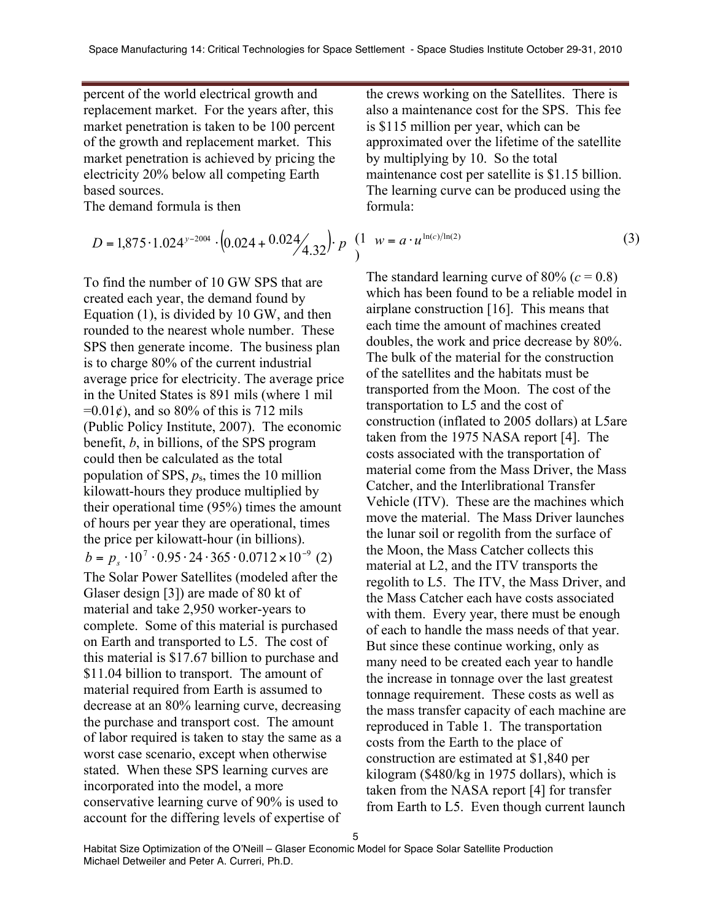percent of the world electrical growth and replacement market. For the years after, this market penetration is taken to be 100 percent of the growth and replacement market. This market penetration is achieved by pricing the electricity 20% below all competing Earth based sources.

The demand formula is then

approximated over the lifetime of the satellite by multiplying by 10. So the total maintenance cost per satellite is \$1.15 billion. The learning curve can be produced using the formula:

is \$115 million per year, which can be

the crews working on the Satellites. There is also a maintenance cost for the SPS. This fee

$$
D = 1,875 \cdot 1.024^{\nu - 2004} \cdot (0.024 + 0.024 \angle 4.32) \cdot p \left(1 \quad w = a \cdot u^{\ln(c)/\ln(2)}\right)
$$
 (3)

To find the number of 10 GW SPS that are created each year, the demand found by Equation (1), is divided by 10 GW, and then rounded to the nearest whole number. These SPS then generate income. The business plan is to charge 80% of the current industrial average price for electricity. The average price in the United States is 891 mils (where 1 mil  $=0.01\text{¢}$ ), and so 80% of this is 712 mils (Public Policy Institute, 2007). The economic benefit, *b*, in billions, of the SPS program could then be calculated as the total population of SPS, *p*s, times the 10 million kilowatt-hours they produce multiplied by their operational time (95%) times the amount of hours per year they are operational, times the price per kilowatt-hour (in billions).  $b = p_s \cdot 10^7 \cdot 0.95 \cdot 24 \cdot 365 \cdot 0.0712 \times 10^{-9}$  (2) The Solar Power Satellites (modeled after the Glaser design [3]) are made of 80 kt of material and take 2,950 worker-years to complete. Some of this material is purchased on Earth and transported to L5. The cost of this material is \$17.67 billion to purchase and \$11.04 billion to transport. The amount of material required from Earth is assumed to decrease at an 80% learning curve, decreasing the purchase and transport cost. The amount of labor required is taken to stay the same as a worst case scenario, except when otherwise stated. When these SPS learning curves are incorporated into the model, a more conservative learning curve of 90% is used to account for the differing levels of expertise of

The standard learning curve of  $80\%$  ( $c = 0.8$ ) which has been found to be a reliable model in airplane construction [16]. This means that each time the amount of machines created doubles, the work and price decrease by 80%. The bulk of the material for the construction of the satellites and the habitats must be transported from the Moon. The cost of the transportation to L5 and the cost of construction (inflated to 2005 dollars) at L5are taken from the 1975 NASA report [4]. The costs associated with the transportation of material come from the Mass Driver, the Mass Catcher, and the Interlibrational Transfer Vehicle (ITV). These are the machines which move the material. The Mass Driver launches the lunar soil or regolith from the surface of the Moon, the Mass Catcher collects this material at L2, and the ITV transports the regolith to L5. The ITV, the Mass Driver, and the Mass Catcher each have costs associated with them. Every year, there must be enough of each to handle the mass needs of that year. But since these continue working, only as many need to be created each year to handle the increase in tonnage over the last greatest tonnage requirement. These costs as well as the mass transfer capacity of each machine are reproduced in Table 1. The transportation costs from the Earth to the place of construction are estimated at \$1,840 per kilogram (\$480/kg in 1975 dollars), which is taken from the NASA report [4] for transfer from Earth to L5. Even though current launch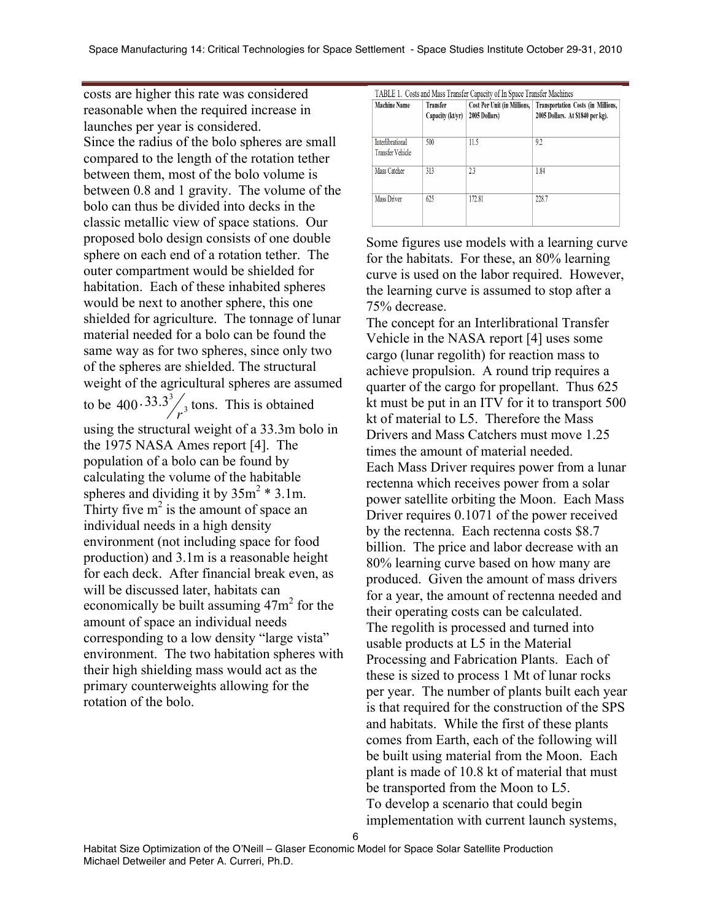costs are higher this rate was considered reasonable when the required increase in launches per year is considered. Since the radius of the bolo spheres are small compared to the length of the rotation tether between them, most of the bolo volume is between 0.8 and 1 gravity. The volume of the bolo can thus be divided into decks in the classic metallic view of space stations. Our proposed bolo design consists of one double sphere on each end of a rotation tether. The outer compartment would be shielded for habitation. Each of these inhabited spheres would be next to another sphere, this one shielded for agriculture. The tonnage of lunar material needed for a bolo can be found the same way as for two spheres, since only two of the spheres are shielded. The structural weight of the agricultural spheres are assumed

to be  $400 \cdot 33.3^3 / r^3$  tons. This is obtained

using the structural weight of a 33.3m bolo in the 1975 NASA Ames report [4]. The population of a bolo can be found by calculating the volume of the habitable spheres and dividing it by  $35m^2 * 3.1m$ . Thirty five  $m<sup>2</sup>$  is the amount of space an individual needs in a high density environment (not including space for food production) and 3.1m is a reasonable height for each deck. After financial break even, as will be discussed later, habitats can economically be built assuming  $47m^2$  for the amount of space an individual needs corresponding to a low density "large vista" environment. The two habitation spheres with their high shielding mass would act as the primary counterweights allowing for the rotation of the bolo.

| <b>Machine Name</b>                                | <b>Transfer</b><br>Capacity (kt/yr) | Cost Per Unit (in Millions,<br>2005 Dollars) | Transportation Costs (in Millions,<br>2005 Dollars. At \$1840 per kg). |
|----------------------------------------------------|-------------------------------------|----------------------------------------------|------------------------------------------------------------------------|
| <b>Interlibrational</b><br><b>Transfer Vehicle</b> | 500                                 | 11.5                                         | 9.2                                                                    |
| Mass Catcher                                       | 313                                 | 2.3                                          | 1.84                                                                   |
| Mass Driver                                        | 625                                 | 172.81                                       | 228.7                                                                  |

Some figures use models with a learning curve for the habitats. For these, an 80% learning curve is used on the labor required. However, the learning curve is assumed to stop after a 75% decrease.

The concept for an Interlibrational Transfer Vehicle in the NASA report [4] uses some cargo (lunar regolith) for reaction mass to achieve propulsion. A round trip requires a quarter of the cargo for propellant. Thus 625 kt must be put in an ITV for it to transport 500 kt of material to L5. Therefore the Mass Drivers and Mass Catchers must move 1.25 times the amount of material needed. Each Mass Driver requires power from a lunar rectenna which receives power from a solar power satellite orbiting the Moon. Each Mass Driver requires 0.1071 of the power received by the rectenna. Each rectenna costs \$8.7 billion. The price and labor decrease with an 80% learning curve based on how many are produced. Given the amount of mass drivers for a year, the amount of rectenna needed and their operating costs can be calculated. The regolith is processed and turned into usable products at L5 in the Material Processing and Fabrication Plants. Each of these is sized to process 1 Mt of lunar rocks per year. The number of plants built each year is that required for the construction of the SPS and habitats. While the first of these plants comes from Earth, each of the following will be built using material from the Moon. Each plant is made of 10.8 kt of material that must be transported from the Moon to L5. To develop a scenario that could begin implementation with current launch systems,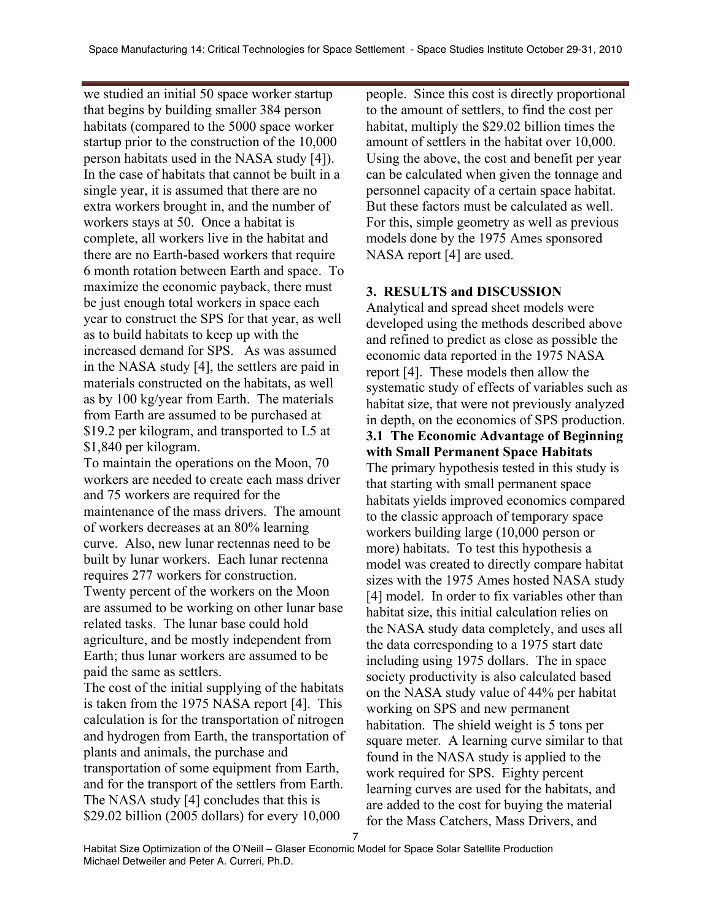we studied an initial 50 space worker startup that begins by building smaller 384 person habitats (compared to the 5000 space worker startup prior to the construction of the 10,000 person habitats used in the NASA study [4]). In the case of habitats that cannot be built in a single year, it is assumed that there are no extra workers brought in, and the number of workers stays at 50. Once a habitat is complete, all workers live in the habitat and there are no Earth-based workers that require 6 month rotation between Earth and space. To maximize the economic payback, there must be just enough total workers in space each year to construct the SPS for that year, as well as to build habitats to keep up with the increased demand for SPS. As was assumed in the NASA study [4], the settlers are paid in materials constructed on the habitats, as well as by 100 kg/year from Earth. The materials from Earth are assumed to be purchased at \$19.2 per kilogram, and transported to L5 at \$1,840 per kilogram.

To maintain the operations on the Moon, 70 workers are needed to create each mass driver and 75 workers are required for the maintenance of the mass drivers. The amount of workers decreases at an 80% learning curve. Also, new lunar rectennas need to be built by lunar workers. Each lunar rectenna requires 277 workers for construction. Twenty percent of the workers on the Moon are assumed to be working on other lunar base related tasks. The lunar base could hold agriculture, and be mostly independent from Earth; thus lunar workers are assumed to be paid the same as settlers.

The cost of the initial supplying of the habitats is taken from the 1975 NASA report [4]. This calculation is for the transportation of nitrogen and hydrogen from Earth, the transportation of plants and animals, the purchase and transportation of some equipment from Earth, and for the transport of the settlers from Earth. The NASA study [4] concludes that this is \$29.02 billion (2005 dollars) for every 10,000

people. Since this cost is directly proportional to the amount of settlers, to find the cost per habitat, multiply the \$29.02 billion times the amount of settlers in the habitat over 10,000. Using the above, the cost and benefit per year can be calculated when given the tonnage and personnel capacity of a certain space habitat. But these factors must be calculated as well. For this, simple geometry as well as previous models done by the 1975 Ames sponsored NASA report [4] are used.

## **3. RESULTS and DISCUSSION**

Analytical and spread sheet models were developed using the methods described above and refined to predict as close as possible the economic data reported in the 1975 NASA report [4]. These models then allow the systematic study of effects of variables such as habitat size, that were not previously analyzed in depth, on the economics of SPS production. **3.1 The Economic Advantage of Beginning with Small Permanent Space Habitats** The primary hypothesis tested in this study is that starting with small permanent space habitats yields improved economics compared to the classic approach of temporary space workers building large (10,000 person or more) habitats. To test this hypothesis a model was created to directly compare habitat sizes with the 1975 Ames hosted NASA study [4] model. In order to fix variables other than habitat size, this initial calculation relies on the NASA study data completely, and uses all the data corresponding to a 1975 start date including using 1975 dollars. The in space society productivity is also calculated based on the NASA study value of 44% per habitat working on SPS and new permanent habitation. The shield weight is 5 tons per square meter. A learning curve similar to that found in the NASA study is applied to the work required for SPS. Eighty percent learning curves are used for the habitats, and are added to the cost for buying the material for the Mass Catchers, Mass Drivers, and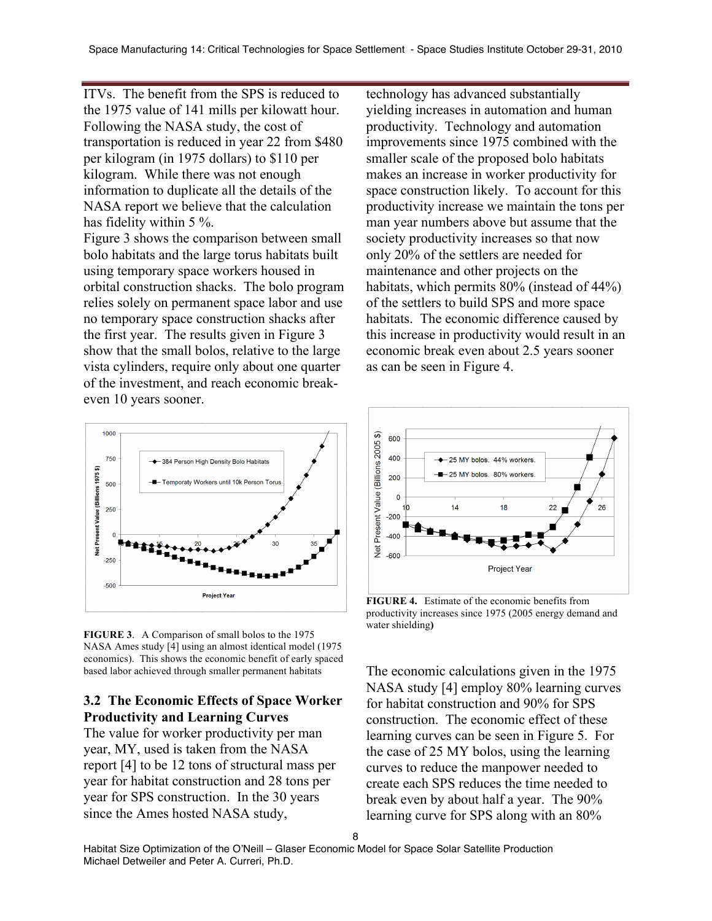ITVs. The benefit from the SPS is reduced to the 1975 value of 141 mills per kilowatt hour. Following the NASA study, the cost of transportation is reduced in year 22 from \$480 per kilogram (in 1975 dollars) to \$110 per kilogram. While there was not enough information to duplicate all the details of the NASA report we believe that the calculation has fidelity within 5 %.

Figure 3 shows the comparison between small bolo habitats and the large torus habitats built using temporary space workers housed in orbital construction shacks. The bolo program relies solely on permanent space labor and use no temporary space construction shacks after the first year. The results given in Figure 3 show that the small bolos, relative to the large vista cylinders, require only about one quarter of the investment, and reach economic breakeven 10 years sooner.



**FIGURE 3**. A Comparison of small bolos to the 1975 NASA Ames study [4] using an almost identical model (1975 economics). This shows the economic benefit of early spaced based labor achieved through smaller permanent habitats

## **3.2 The Economic Effects of Space Worker Productivity and Learning Curves**

The value for worker productivity per man year, MY, used is taken from the NASA report [4] to be 12 tons of structural mass per year for habitat construction and 28 tons per year for SPS construction. In the 30 years since the Ames hosted NASA study,

technology has advanced substantially yielding increases in automation and human productivity. Technology and automation improvements since 1975 combined with the smaller scale of the proposed bolo habitats makes an increase in worker productivity for space construction likely. To account for this productivity increase we maintain the tons per man year numbers above but assume that the society productivity increases so that now only 20% of the settlers are needed for maintenance and other projects on the habitats, which permits 80% (instead of 44%) of the settlers to build SPS and more space habitats. The economic difference caused by this increase in productivity would result in an economic break even about 2.5 years sooner as can be seen in Figure 4.



**FIGURE 4.** Estimate of the economic benefits from productivity increases since 1975 (2005 energy demand and water shielding**)**

The economic calculations given in the 1975 NASA study [4] employ 80% learning curves for habitat construction and 90% for SPS construction. The economic effect of these learning curves can be seen in Figure 5. For the case of 25 MY bolos, using the learning curves to reduce the manpower needed to create each SPS reduces the time needed to break even by about half a year. The 90% learning curve for SPS along with an 80%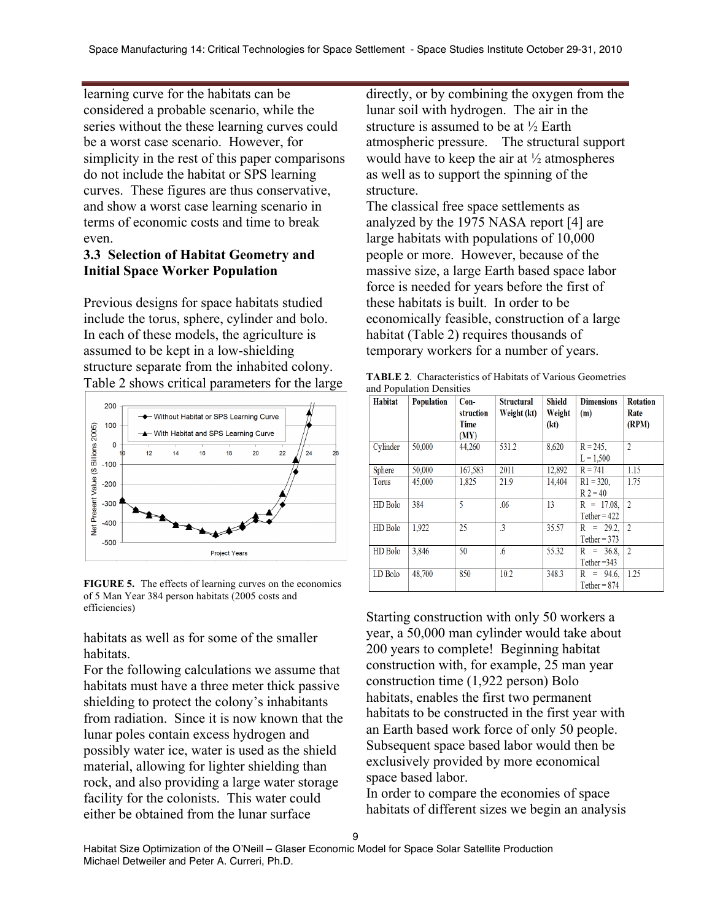learning curve for the habitats can be considered a probable scenario, while the series without the these learning curves could be a worst case scenario. However, for simplicity in the rest of this paper comparisons do not include the habitat or SPS learning curves. These figures are thus conservative, and show a worst case learning scenario in terms of economic costs and time to break even.

## **3.3 Selection of Habitat Geometry and Initial Space Worker Population**

Previous designs for space habitats studied include the torus, sphere, cylinder and bolo. In each of these models, the agriculture is assumed to be kept in a low-shielding structure separate from the inhabited colony. Table 2 shows critical parameters for the large



**FIGURE 5.** The effects of learning curves on the economics of 5 Man Year 384 person habitats (2005 costs and efficiencies)

habitats as well as for some of the smaller habitats.

For the following calculations we assume that habitats must have a three meter thick passive shielding to protect the colony's inhabitants from radiation. Since it is now known that the lunar poles contain excess hydrogen and possibly water ice, water is used as the shield material, allowing for lighter shielding than rock, and also providing a large water storage facility for the colonists. This water could either be obtained from the lunar surface

directly, or by combining the oxygen from the lunar soil with hydrogen. The air in the structure is assumed to be at ½ Earth atmospheric pressure. The structural support would have to keep the air at ½ atmospheres as well as to support the spinning of the structure.

The classical free space settlements as analyzed by the 1975 NASA report [4] are large habitats with populations of 10,000 people or more. However, because of the massive size, a large Earth based space labor force is needed for years before the first of these habitats is built. In order to be economically feasible, construction of a large habitat (Table 2) requires thousands of temporary workers for a number of years.

| <b>TABLE 2.</b> Characteristics of Habitats of Various Geometries |  |
|-------------------------------------------------------------------|--|
| and Population Densities                                          |  |

| <b>Habitat</b> | <b>Population</b> | $Con-$<br>struction<br>Time<br>(MY) | <b>Structural</b><br>Weight (kt) | <b>Shield</b><br>Weight<br>(kt) | <b>Dimensions</b><br>(m)        | <b>Rotation</b><br>Rate<br>(RPM) |
|----------------|-------------------|-------------------------------------|----------------------------------|---------------------------------|---------------------------------|----------------------------------|
| Cylinder       | 50,000            | 44,260                              | 531.2                            | 8,620                           | $R = 245$ ,<br>$L = 1,500$      | $\overline{2}$                   |
| <b>Sphere</b>  | 50,000            | 167,583                             | 2011                             | 12,892                          | $R = 741$                       | 1.15                             |
| Torus          | 45,000            | 1,825                               | 21.9                             | 14,404                          | $R1 = 320$ ,<br>$R = 40$        | 1.75                             |
| HD Bolo        | 384               | 5                                   | .06                              | 13                              | $R = 17.08$ .<br>$Tether = 422$ | $\overline{2}$                   |
| HD Bolo        | 1.922             | 25                                  | $\overline{3}$                   | 35.57                           | $R = 29.2$<br>Tether = $373$    | $\overline{2}$                   |
| HD Bolo        | 3.846             | 50                                  | .6                               | 55.32                           | $R = 36.8$<br>Tether $=343$     | $\overline{2}$                   |
| LD Bolo        | 48.700            | 850                                 | 10.2                             | 348.3                           | $R = 94.6$<br>$Tether = 874$    | 1.25                             |

Starting construction with only 50 workers a year, a 50,000 man cylinder would take about 200 years to complete! Beginning habitat construction with, for example, 25 man year construction time (1,922 person) Bolo habitats, enables the first two permanent habitats to be constructed in the first year with an Earth based work force of only 50 people. Subsequent space based labor would then be exclusively provided by more economical space based labor.

In order to compare the economies of space habitats of different sizes we begin an analysis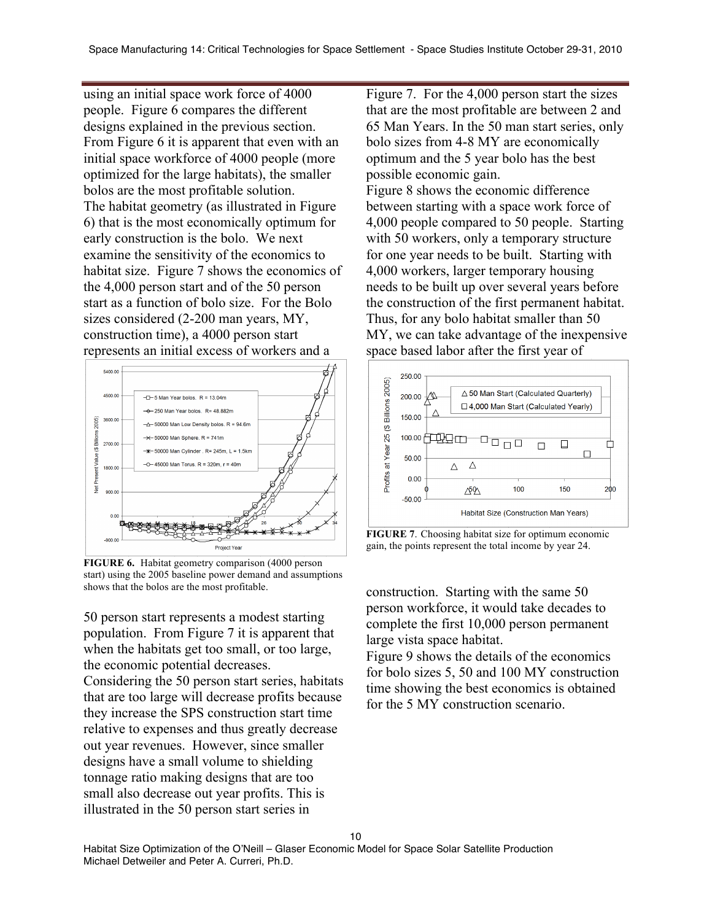using an initial space work force of 4000 people. Figure 6 compares the different designs explained in the previous section. From Figure 6 it is apparent that even with an initial space workforce of 4000 people (more optimized for the large habitats), the smaller bolos are the most profitable solution. The habitat geometry (as illustrated in Figure 6) that is the most economically optimum for early construction is the bolo. We next examine the sensitivity of the economics to habitat size. Figure 7 shows the economics of the 4,000 person start and of the 50 person start as a function of bolo size. For the Bolo sizes considered (2-200 man years, MY, construction time), a 4000 person start represents an initial excess of workers and a



**FIGURE 6.** Habitat geometry comparison (4000 person start) using the 2005 baseline power demand and assumptions shows that the bolos are the most profitable.

50 person start represents a modest starting population. From Figure 7 it is apparent that when the habitats get too small, or too large, the economic potential decreases.

Considering the 50 person start series, habitats that are too large will decrease profits because they increase the SPS construction start time relative to expenses and thus greatly decrease out year revenues. However, since smaller designs have a small volume to shielding tonnage ratio making designs that are too small also decrease out year profits. This is illustrated in the 50 person start series in

Figure 7. For the 4,000 person start the sizes that are the most profitable are between 2 and 65 Man Years. In the 50 man start series, only bolo sizes from 4-8 MY are economically optimum and the 5 year bolo has the best possible economic gain.

Figure 8 shows the economic difference between starting with a space work force of 4,000 people compared to 50 people. Starting with 50 workers, only a temporary structure for one year needs to be built. Starting with 4,000 workers, larger temporary housing needs to be built up over several years before the construction of the first permanent habitat. Thus, for any bolo habitat smaller than 50 MY, we can take advantage of the inexpensive space based labor after the first year of



**FIGURE 7**. Choosing habitat size for optimum economic gain, the points represent the total income by year 24.

construction. Starting with the same 50 person workforce, it would take decades to complete the first 10,000 person permanent large vista space habitat.

Figure 9 shows the details of the economics for bolo sizes 5, 50 and 100 MY construction time showing the best economics is obtained for the 5 MY construction scenario.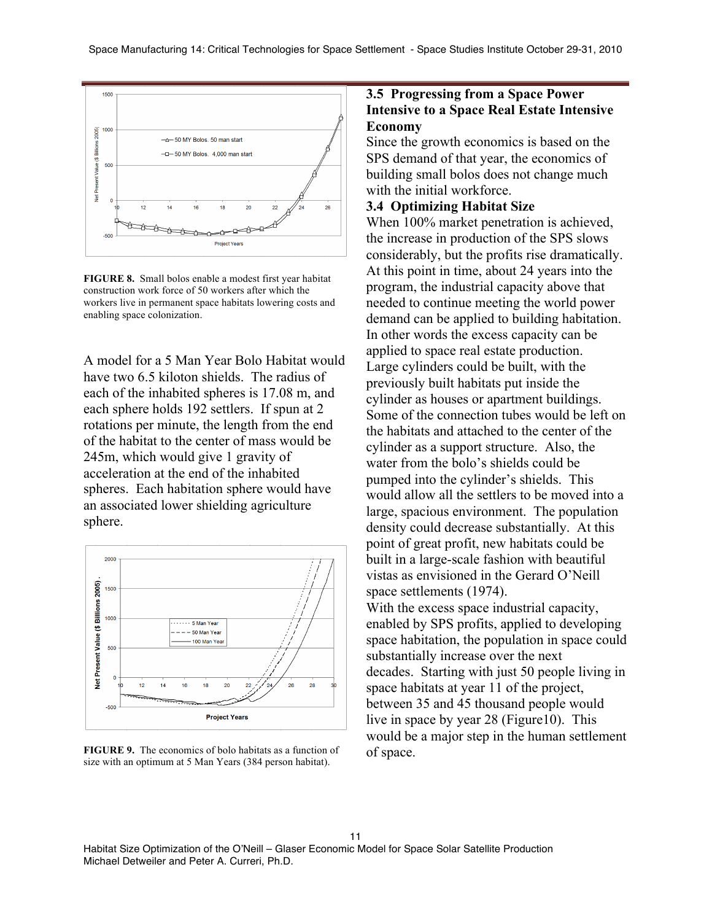

**FIGURE 8.** Small bolos enable a modest first year habitat construction work force of 50 workers after which the workers live in permanent space habitats lowering costs and enabling space colonization.

A model for a 5 Man Year Bolo Habitat would have two 6.5 kiloton shields. The radius of each of the inhabited spheres is 17.08 m, and each sphere holds 192 settlers. If spun at 2 rotations per minute, the length from the end of the habitat to the center of mass would be 245m, which would give 1 gravity of acceleration at the end of the inhabited spheres. Each habitation sphere would have an associated lower shielding agriculture sphere.



**FIGURE 9.** The economics of bolo habitats as a function of size with an optimum at 5 Man Years (384 person habitat).

#### **3.5 Progressing from a Space Power Intensive to a Space Real Estate Intensive Economy**

Since the growth economics is based on the SPS demand of that year, the economics of building small bolos does not change much with the initial workforce.

#### **3.4 Optimizing Habitat Size**

When 100% market penetration is achieved, the increase in production of the SPS slows considerably, but the profits rise dramatically. At this point in time, about 24 years into the program, the industrial capacity above that needed to continue meeting the world power demand can be applied to building habitation. In other words the excess capacity can be applied to space real estate production. Large cylinders could be built, with the previously built habitats put inside the cylinder as houses or apartment buildings. Some of the connection tubes would be left on the habitats and attached to the center of the cylinder as a support structure. Also, the water from the bolo's shields could be pumped into the cylinder's shields. This would allow all the settlers to be moved into a large, spacious environment. The population density could decrease substantially. At this point of great profit, new habitats could be built in a large-scale fashion with beautiful vistas as envisioned in the Gerard O'Neill space settlements (1974). With the excess space industrial capacity, enabled by SPS profits, applied to developing space habitation, the population in space could substantially increase over the next decades. Starting with just 50 people living in space habitats at year 11 of the project, between 35 and 45 thousand people would live in space by year 28 (Figure10). This would be a major step in the human settlement of space.

Habitat Size Optimization of the O'Neill – Glaser Economic Model for Space Solar Satellite Production Michael Detweiler and Peter A. Curreri, Ph.D.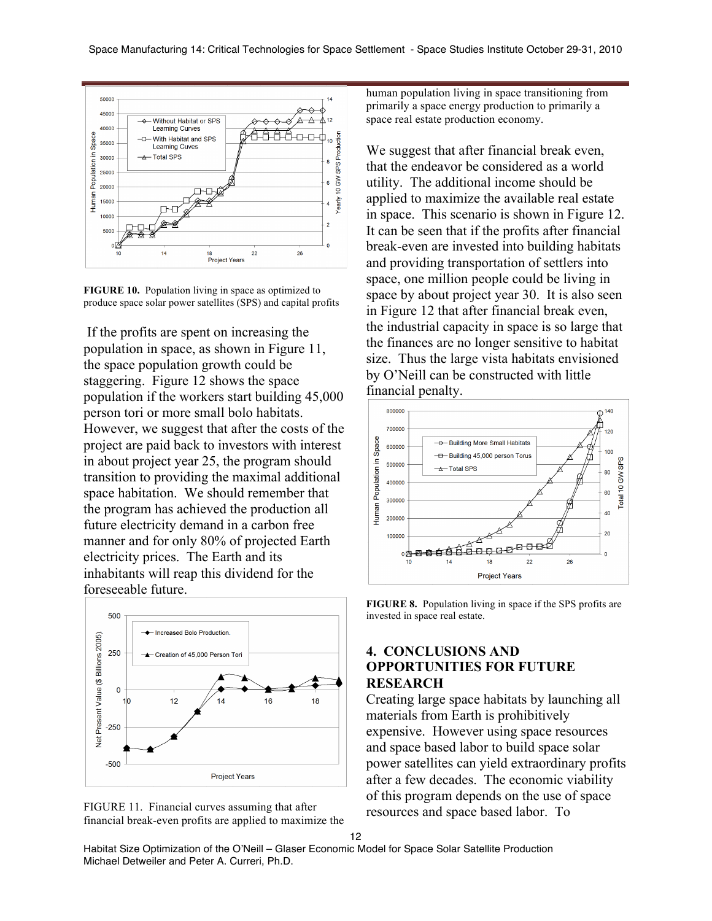

**FIGURE 10.** Population living in space as optimized to produce space solar power satellites (SPS) and capital profits

If the profits are spent on increasing the population in space, as shown in Figure 11, the space population growth could be staggering. Figure 12 shows the space population if the workers start building 45,000 person tori or more small bolo habitats. However, we suggest that after the costs of the project are paid back to investors with interest in about project year 25, the program should transition to providing the maximal additional space habitation. We should remember that the program has achieved the production all future electricity demand in a carbon free manner and for only 80% of projected Earth electricity prices. The Earth and its inhabitants will reap this dividend for the foreseeable future.





human population living in space transitioning from primarily a space energy production to primarily a space real estate production economy.

We suggest that after financial break even, that the endeavor be considered as a world utility. The additional income should be applied to maximize the available real estate in space. This scenario is shown in Figure 12. It can be seen that if the profits after financial break-even are invested into building habitats and providing transportation of settlers into space, one million people could be living in space by about project year 30. It is also seen in Figure 12 that after financial break even, the industrial capacity in space is so large that the finances are no longer sensitive to habitat size. Thus the large vista habitats envisioned by O'Neill can be constructed with little financial penalty.



**FIGURE 8.** Population living in space if the SPS profits are invested in space real estate.

#### **4. CONCLUSIONS AND OPPORTUNITIES FOR FUTURE RESEARCH**

Creating large space habitats by launching all materials from Earth is prohibitively expensive. However using space resources and space based labor to build space solar power satellites can yield extraordinary profits after a few decades. The economic viability of this program depends on the use of space resources and space based labor. To

Habitat Size Optimization of the O'Neill – Glaser Economic Model for Space Solar Satellite Production Michael Detweiler and Peter A. Curreri, Ph.D.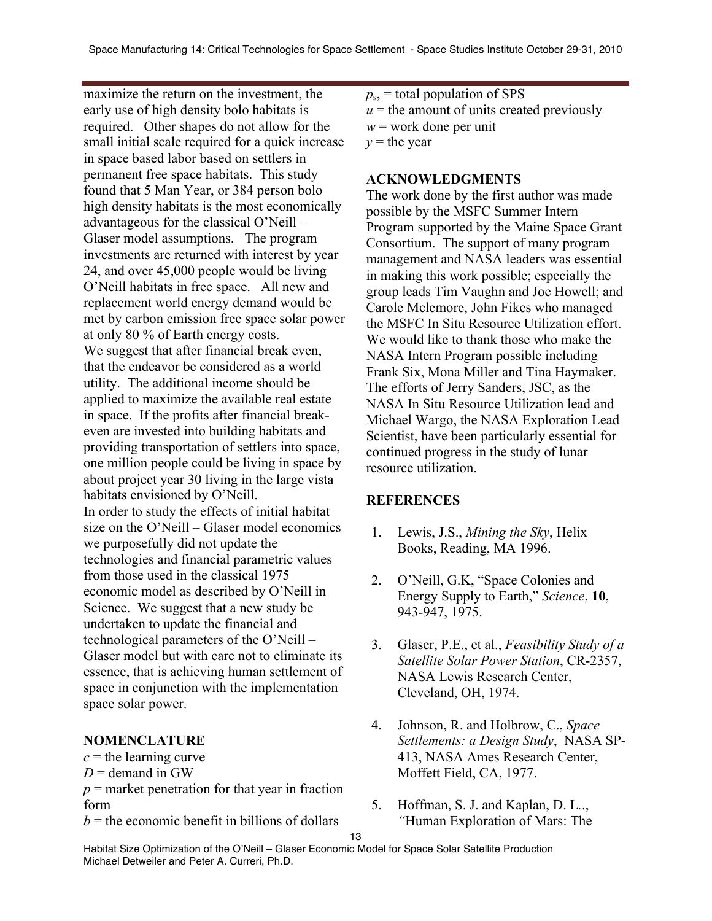maximize the return on the investment, the early use of high density bolo habitats is required. Other shapes do not allow for the small initial scale required for a quick increase in space based labor based on settlers in permanent free space habitats. This study found that 5 Man Year, or 384 person bolo high density habitats is the most economically advantageous for the classical O'Neill – Glaser model assumptions. The program investments are returned with interest by year 24, and over 45,000 people would be living O'Neill habitats in free space. All new and replacement world energy demand would be met by carbon emission free space solar power at only 80 % of Earth energy costs. We suggest that after financial break even, that the endeavor be considered as a world utility. The additional income should be applied to maximize the available real estate in space. If the profits after financial breakeven are invested into building habitats and providing transportation of settlers into space, one million people could be living in space by about project year 30 living in the large vista habitats envisioned by O'Neill. In order to study the effects of initial habitat size on the O'Neill – Glaser model economics we purposefully did not update the technologies and financial parametric values from those used in the classical 1975 economic model as described by O'Neill in Science. We suggest that a new study be undertaken to update the financial and technological parameters of the O'Neill – Glaser model but with care not to eliminate its essence, that is achieving human settlement of space in conjunction with the implementation space solar power.

#### **NOMENCLATURE**

 $c =$  the learning curve  $D =$  demand in GW

 $p =$  market penetration for that year in fraction form

 $b =$  the economic benefit in billions of dollars

 $p_s$ , = total population of SPS  $u =$  the amount of units created previously  $w =$  work done per unit  $v =$  the year

#### **ACKNOWLEDGMENTS**

The work done by the first author was made possible by the MSFC Summer Intern Program supported by the Maine Space Grant Consortium. The support of many program management and NASA leaders was essential in making this work possible; especially the group leads Tim Vaughn and Joe Howell; and Carole Mclemore, John Fikes who managed the MSFC In Situ Resource Utilization effort. We would like to thank those who make the NASA Intern Program possible including Frank Six, Mona Miller and Tina Haymaker. The efforts of Jerry Sanders, JSC, as the NASA In Situ Resource Utilization lead and Michael Wargo, the NASA Exploration Lead Scientist, have been particularly essential for continued progress in the study of lunar resource utilization.

#### **REFERENCES**

- 1. Lewis, J.S., *Mining the Sky*, Helix Books, Reading, MA 1996.
- 2. O'Neill, G.K, "Space Colonies and Energy Supply to Earth," *Science*, **10**, 943-947, 1975.
- 3. Glaser, P.E., et al., *Feasibility Study of a Satellite Solar Power Station*, CR-2357, NASA Lewis Research Center, Cleveland, OH, 1974.
- 4. Johnson, R. and Holbrow, C., *Space Settlements: a Design Study*, NASA SP-413, NASA Ames Research Center, Moffett Field, CA, 1977.
- 5. Hoffman, S. J. and Kaplan, D. L*.*., *"*Human Exploration of Mars: The

13

Habitat Size Optimization of the O'Neill – Glaser Economic Model for Space Solar Satellite Production Michael Detweiler and Peter A. Curreri, Ph.D.